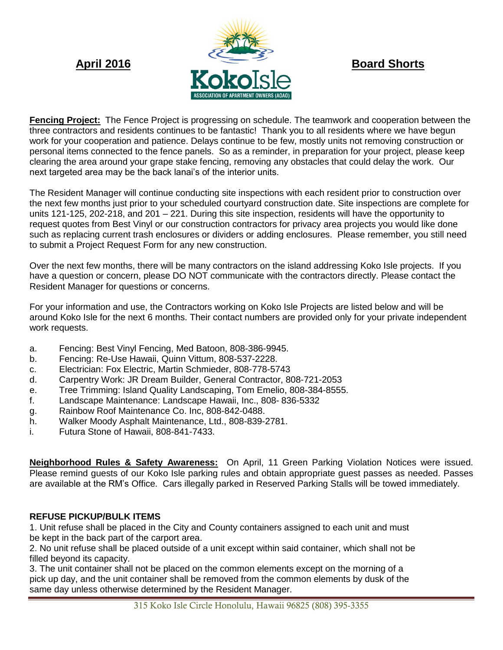

**Fencing Project:** The Fence Project is progressing on schedule. The teamwork and cooperation between the three contractors and residents continues to be fantastic! Thank you to all residents where we have begun work for your cooperation and patience. Delays continue to be few, mostly units not removing construction or personal items connected to the fence panels. So as a reminder, in preparation for your project, please keep clearing the area around your grape stake fencing, removing any obstacles that could delay the work. Our next targeted area may be the back lanai's of the interior units.

The Resident Manager will continue conducting site inspections with each resident prior to construction over the next few months just prior to your scheduled courtyard construction date. Site inspections are complete for units 121-125, 202-218, and 201 – 221. During this site inspection, residents will have the opportunity to request quotes from Best Vinyl or our construction contractors for privacy area projects you would like done such as replacing current trash enclosures or dividers or adding enclosures. Please remember, you still need to submit a Project Request Form for any new construction.

Over the next few months, there will be many contractors on the island addressing Koko Isle projects. If you have a question or concern, please DO NOT communicate with the contractors directly. Please contact the Resident Manager for questions or concerns.

For your information and use, the Contractors working on Koko Isle Projects are listed below and will be around Koko Isle for the next 6 months. Their contact numbers are provided only for your private independent work requests.

- a. Fencing: Best Vinyl Fencing, Med Batoon, 808-386-9945.
- b. Fencing: Re-Use Hawaii, Quinn Vittum, 808-537-2228.
- c. Electrician: Fox Electric, Martin Schmieder, 808-778-5743
- d. Carpentry Work: JR Dream Builder, General Contractor, 808-721-2053
- e. Tree Trimming: Island Quality Landscaping, Tom Emelio, 808-384-8555.
- f. Landscape Maintenance: Landscape Hawaii, Inc., 808- 836-5332
- g. Rainbow Roof Maintenance Co. Inc, 808-842-0488.
- h. Walker Moody Asphalt Maintenance, Ltd., 808-839-2781.
- i. Futura Stone of Hawaii, 808-841-7433.

**Neighborhood Rules & Safety Awareness:** On April, 11 Green Parking Violation Notices were issued. Please remind guests of our Koko Isle parking rules and obtain appropriate guest passes as needed. Passes are available at the RM's Office. Cars illegally parked in Reserved Parking Stalls will be towed immediately.

# **REFUSE PICKUP/BULK ITEMS**

1. Unit refuse shall be placed in the City and County containers assigned to each unit and must be kept in the back part of the carport area.

2. No unit refuse shall be placed outside of a unit except within said container, which shall not be filled beyond its capacity.

3. The unit container shall not be placed on the common elements except on the morning of a pick up day, and the unit container shall be removed from the common elements by dusk of the same day unless otherwise determined by the Resident Manager.